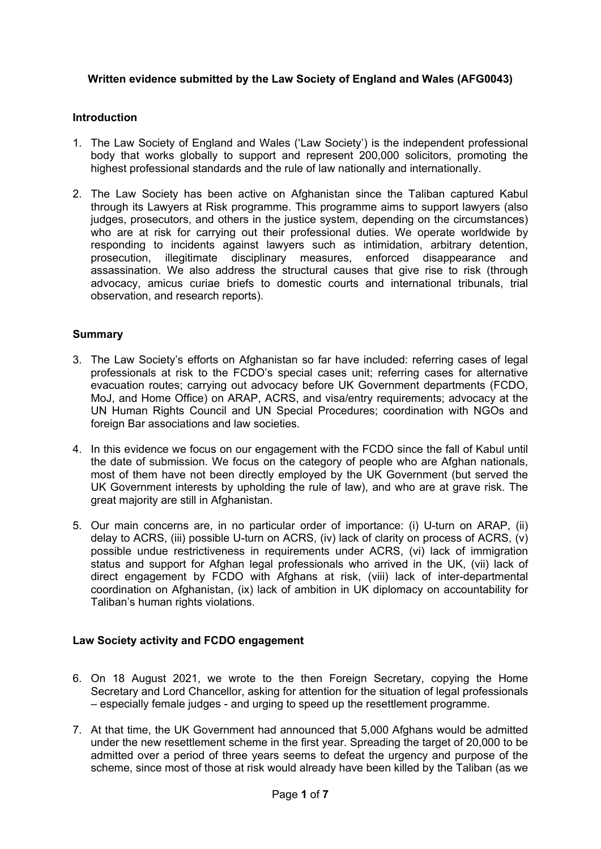## **Written evidence submitted by the Law Society of England and Wales (AFG0043)**

#### **Introduction**

- 1. The Law Society of England and Wales ('Law Society') is the independent professional body that works globally to support and represent 200,000 solicitors, promoting the highest professional standards and the rule of law nationally and internationally.
- 2. The Law Society has been active on Afghanistan since the Taliban captured Kabul through its Lawyers at Risk programme. This programme aims to support lawyers (also judges, prosecutors, and others in the justice system, depending on the circumstances) who are at risk for carrying out their professional duties. We operate worldwide by responding to incidents against lawyers such as intimidation, arbitrary detention, prosecution, illegitimate disciplinary measures, enforced disappearance and assassination. We also address the structural causes that give rise to risk (through advocacy, amicus curiae briefs to domestic courts and international tribunals, trial observation, and research reports).

### **Summary**

- 3. The Law Society's efforts on Afghanistan so far have included: referring cases of legal professionals at risk to the FCDO's special cases unit; referring cases for alternative evacuation routes; carrying out advocacy before UK Government departments (FCDO, MoJ, and Home Office) on ARAP, ACRS, and visa/entry requirements; advocacy at the UN Human Rights Council and UN Special Procedures; coordination with NGOs and foreign Bar associations and law societies.
- 4. In this evidence we focus on our engagement with the FCDO since the fall of Kabul until the date of submission. We focus on the category of people who are Afghan nationals, most of them have not been directly employed by the UK Government (but served the UK Government interests by upholding the rule of law), and who are at grave risk. The great majority are still in Afghanistan.
- 5. Our main concerns are, in no particular order of importance: (i) U-turn on ARAP, (ii) delay to ACRS, (iii) possible U-turn on ACRS, (iv) lack of clarity on process of ACRS, (v) possible undue restrictiveness in requirements under ACRS, (vi) lack of immigration status and support for Afghan legal professionals who arrived in the UK, (vii) lack of direct engagement by FCDO with Afghans at risk, (viii) lack of inter-departmental coordination on Afghanistan, (ix) lack of ambition in UK diplomacy on accountability for Taliban's human rights violations.

#### **Law Society activity and FCDO engagement**

- 6. On 18 August 2021, we wrote to the then Foreign Secretary, copying the Home Secretary and Lord Chancellor, asking for attention for the situation of legal professionals – especially female judges - and urging to speed up the resettlement programme.
- 7. At that time, the UK Government had announced that 5,000 Afghans would be admitted under the new resettlement scheme in the first year. Spreading the target of 20,000 to be admitted over a period of three years seems to defeat the urgency and purpose of the scheme, since most of those at risk would already have been killed by the Taliban (as we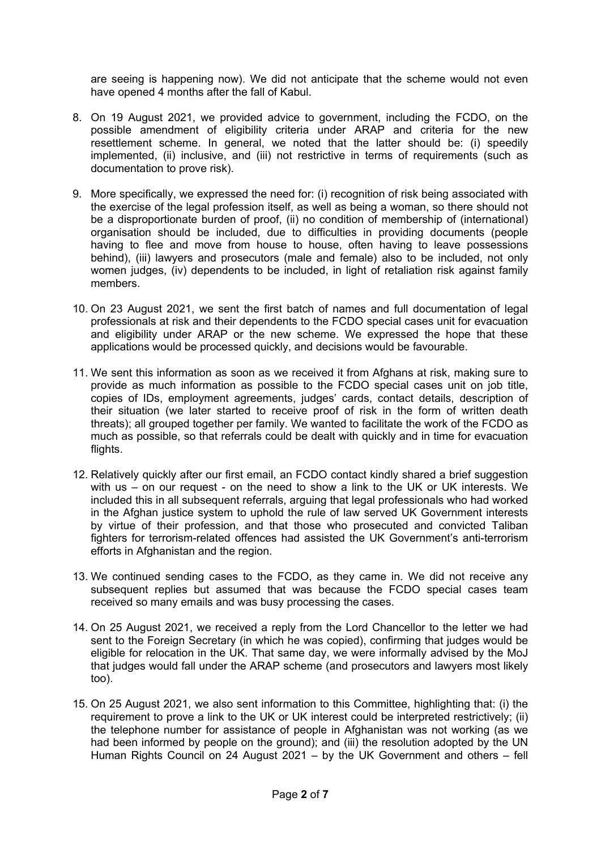are seeing is happening now). We did not anticipate that the scheme would not even have opened 4 months after the fall of Kabul.

- 8. On 19 August 2021, we provided advice to government, including the FCDO, on the possible amendment of eligibility criteria under ARAP and criteria for the new resettlement scheme. In general, we noted that the latter should be: (i) speedily implemented, (ii) inclusive, and (iii) not restrictive in terms of requirements (such as documentation to prove risk).
- 9. More specifically, we expressed the need for: (i) recognition of risk being associated with the exercise of the legal profession itself, as well as being a woman, so there should not be a disproportionate burden of proof, (ii) no condition of membership of (international) organisation should be included, due to difficulties in providing documents (people having to flee and move from house to house, often having to leave possessions behind), (iii) lawyers and prosecutors (male and female) also to be included, not only women judges, (iv) dependents to be included, in light of retaliation risk against family members.
- 10. On 23 August 2021, we sent the first batch of names and full documentation of legal professionals at risk and their dependents to the FCDO special cases unit for evacuation and eligibility under ARAP or the new scheme. We expressed the hope that these applications would be processed quickly, and decisions would be favourable.
- 11. We sent this information as soon as we received it from Afghans at risk, making sure to provide as much information as possible to the FCDO special cases unit on job title, copies of IDs, employment agreements, judges' cards, contact details, description of their situation (we later started to receive proof of risk in the form of written death threats); all grouped together per family. We wanted to facilitate the work of the FCDO as much as possible, so that referrals could be dealt with quickly and in time for evacuation flights.
- 12. Relatively quickly after our first email, an FCDO contact kindly shared a brief suggestion with us – on our request - on the need to show a link to the UK or UK interests. We included this in all subsequent referrals, arguing that legal professionals who had worked in the Afghan justice system to uphold the rule of law served UK Government interests by virtue of their profession, and that those who prosecuted and convicted Taliban fighters for terrorism-related offences had assisted the UK Government's anti-terrorism efforts in Afghanistan and the region.
- 13. We continued sending cases to the FCDO, as they came in. We did not receive any subsequent replies but assumed that was because the FCDO special cases team received so many emails and was busy processing the cases.
- 14. On 25 August 2021, we received a reply from the Lord Chancellor to the letter we had sent to the Foreign Secretary (in which he was copied), confirming that judges would be eligible for relocation in the UK. That same day, we were informally advised by the MoJ that judges would fall under the ARAP scheme (and prosecutors and lawyers most likely too).
- 15. On 25 August 2021, we also sent information to this Committee, highlighting that: (i) the requirement to prove a link to the UK or UK interest could be interpreted restrictively; (ii) the telephone number for assistance of people in Afghanistan was not working (as we had been informed by people on the ground); and (iii) the resolution adopted by the UN Human Rights Council on 24 August 2021 – by the UK Government and others – fell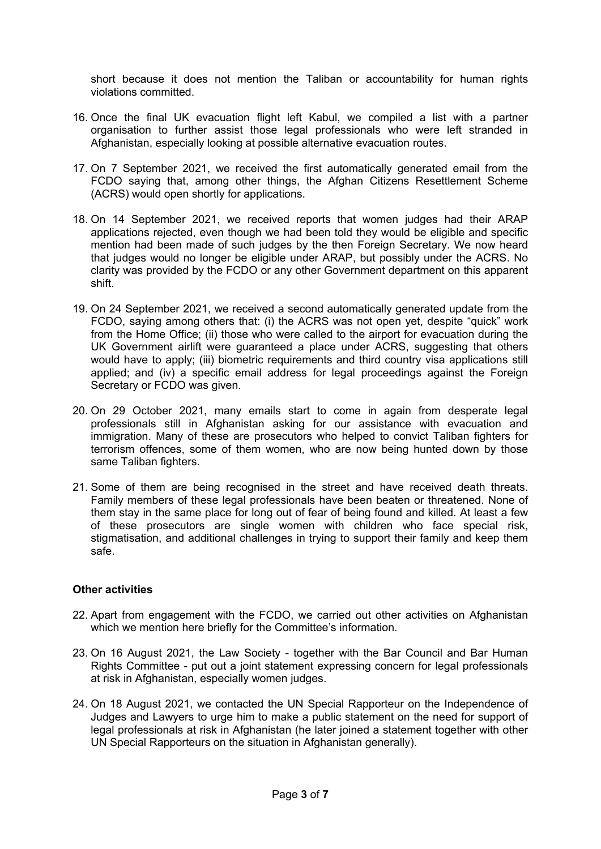short because it does not mention the Taliban or accountability for human rights violations committed.

- 16. Once the final UK evacuation flight left Kabul, we compiled a list with a partner organisation to further assist those legal professionals who were left stranded in Afghanistan, especially looking at possible alternative evacuation routes.
- 17. On 7 September 2021, we received the first automatically generated email from the FCDO saying that, among other things, the Afghan Citizens Resettlement Scheme (ACRS) would open shortly for applications.
- 18. On 14 September 2021, we received reports that women judges had their ARAP applications rejected, even though we had been told they would be eligible and specific mention had been made of such judges by the then Foreign Secretary. We now heard that judges would no longer be eligible under ARAP, but possibly under the ACRS. No clarity was provided by the FCDO or any other Government department on this apparent shift.
- 19. On 24 September 2021, we received a second automatically generated update from the FCDO, saying among others that: (i) the ACRS was not open yet, despite "quick" work from the Home Office; (ii) those who were called to the airport for evacuation during the UK Government airlift were guaranteed a place under ACRS, suggesting that others would have to apply; (iii) biometric requirements and third country visa applications still applied; and (iv) a specific email address for legal proceedings against the Foreign Secretary or FCDO was given.
- 20. On 29 October 2021, many emails start to come in again from desperate legal professionals still in Afghanistan asking for our assistance with evacuation and immigration. Many of these are prosecutors who helped to convict Taliban fighters for terrorism offences, some of them women, who are now being hunted down by those same Taliban fighters.
- 21. Some of them are being recognised in the street and have received death threats. Family members of these legal professionals have been beaten or threatened. None of them stay in the same place for long out of fear of being found and killed. At least a few of these prosecutors are single women with children who face special risk, stigmatisation, and additional challenges in trying to support their family and keep them safe.

#### **Other activities**

- 22. Apart from engagement with the FCDO, we carried out other activities on Afghanistan which we mention here briefly for the Committee's information.
- 23. On 16 August 2021, the Law Society together with the Bar Council and Bar Human Rights Committee - put out a joint statement expressing concern for legal professionals at risk in Afghanistan, especially women judges.
- 24. On 18 August 2021, we contacted the UN Special Rapporteur on the Independence of Judges and Lawyers to urge him to make a public statement on the need for support of legal professionals at risk in Afghanistan (he later joined a statement together with other UN Special Rapporteurs on the situation in Afghanistan generally).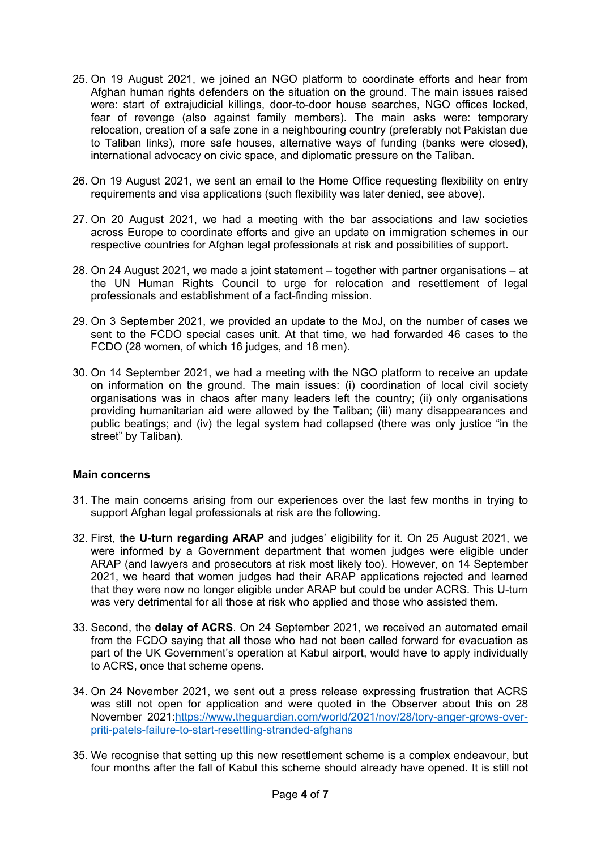- 25. On 19 August 2021, we joined an NGO platform to coordinate efforts and hear from Afghan human rights defenders on the situation on the ground. The main issues raised were: start of extrajudicial killings, door-to-door house searches, NGO offices locked, fear of revenge (also against family members). The main asks were: temporary relocation, creation of a safe zone in a neighbouring country (preferably not Pakistan due to Taliban links), more safe houses, alternative ways of funding (banks were closed), international advocacy on civic space, and diplomatic pressure on the Taliban.
- 26. On 19 August 2021, we sent an email to the Home Office requesting flexibility on entry requirements and visa applications (such flexibility was later denied, see above).
- 27. On 20 August 2021, we had a meeting with the bar associations and law societies across Europe to coordinate efforts and give an update on immigration schemes in our respective countries for Afghan legal professionals at risk and possibilities of support.
- 28. On 24 August 2021, we made a joint statement together with partner organisations at the UN Human Rights Council to urge for relocation and resettlement of legal professionals and establishment of a fact-finding mission.
- 29. On 3 September 2021, we provided an update to the MoJ, on the number of cases we sent to the FCDO special cases unit. At that time, we had forwarded 46 cases to the FCDO (28 women, of which 16 judges, and 18 men).
- 30. On 14 September 2021, we had a meeting with the NGO platform to receive an update on information on the ground. The main issues: (i) coordination of local civil society organisations was in chaos after many leaders left the country; (ii) only organisations providing humanitarian aid were allowed by the Taliban; (iii) many disappearances and public beatings; and (iv) the legal system had collapsed (there was only justice "in the street" by Taliban).

#### **Main concerns**

- 31. The main concerns arising from our experiences over the last few months in trying to support Afghan legal professionals at risk are the following.
- 32. First, the **U-turn regarding ARAP** and judges' eligibility for it. On 25 August 2021, we were informed by a Government department that women judges were eligible under ARAP (and lawyers and prosecutors at risk most likely too). However, on 14 September 2021, we heard that women judges had their ARAP applications rejected and learned that they were now no longer eligible under ARAP but could be under ACRS. This U-turn was very detrimental for all those at risk who applied and those who assisted them.
- 33. Second, the **delay of ACRS**. On 24 September 2021, we received an automated email from the FCDO saying that all those who had not been called forward for evacuation as part of the UK Government's operation at Kabul airport, would have to apply individually to ACRS, once that scheme opens.
- 34. On 24 November 2021, we sent out a press release expressing frustration that ACRS was still not open for application and were quoted in the Observer about this on 28 November 2021:[https://www.theguardian.com/world/2021/nov/28/tory-anger-grows-over](https://www.theguardian.com/world/2021/nov/28/tory-anger-grows-over-priti-patels-failure-to-start-resettling-stranded-afghans)[priti-patels-failure-to-start-resettling-stranded-afghans](https://www.theguardian.com/world/2021/nov/28/tory-anger-grows-over-priti-patels-failure-to-start-resettling-stranded-afghans)
- 35. We recognise that setting up this new resettlement scheme is a complex endeavour, but four months after the fall of Kabul this scheme should already have opened. It is still not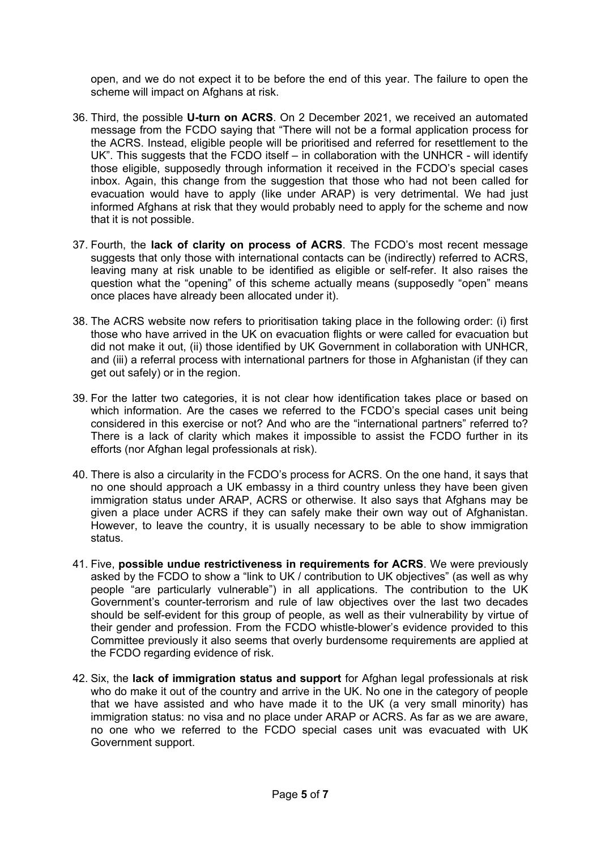open, and we do not expect it to be before the end of this year. The failure to open the scheme will impact on Afghans at risk.

- 36. Third, the possible **U-turn on ACRS**. On 2 December 2021, we received an automated message from the FCDO saying that "There will not be a formal application process for the ACRS. Instead, eligible people will be prioritised and referred for resettlement to the UK". This suggests that the FCDO itself – in collaboration with the UNHCR - will identify those eligible, supposedly through information it received in the FCDO's special cases inbox. Again, this change from the suggestion that those who had not been called for evacuation would have to apply (like under ARAP) is very detrimental. We had just informed Afghans at risk that they would probably need to apply for the scheme and now that it is not possible.
- 37. Fourth, the **lack of clarity on process of ACRS**. The FCDO's most recent message suggests that only those with international contacts can be (indirectly) referred to ACRS, leaving many at risk unable to be identified as eligible or self-refer. It also raises the question what the "opening" of this scheme actually means (supposedly "open" means once places have already been allocated under it).
- 38. The ACRS website now refers to prioritisation taking place in the following order: (i) first those who have arrived in the UK on evacuation flights or were called for evacuation but did not make it out, (ii) those identified by UK Government in collaboration with UNHCR, and (iii) a referral process with international partners for those in Afghanistan (if they can get out safely) or in the region.
- 39. For the latter two categories, it is not clear how identification takes place or based on which information. Are the cases we referred to the FCDO's special cases unit being considered in this exercise or not? And who are the "international partners" referred to? There is a lack of clarity which makes it impossible to assist the FCDO further in its efforts (nor Afghan legal professionals at risk).
- 40. There is also a circularity in the FCDO's process for ACRS. On the one hand, it says that no one should approach a UK embassy in a third country unless they have been given immigration status under ARAP, ACRS or otherwise. It also says that Afghans may be given a place under ACRS if they can safely make their own way out of Afghanistan. However, to leave the country, it is usually necessary to be able to show immigration status.
- 41. Five, **possible undue restrictiveness in requirements for ACRS**. We were previously asked by the FCDO to show a "link to UK / contribution to UK objectives" (as well as why people "are particularly vulnerable") in all applications. The contribution to the UK Government's counter-terrorism and rule of law objectives over the last two decades should be self-evident for this group of people, as well as their vulnerability by virtue of their gender and profession. From the FCDO whistle-blower's evidence provided to this Committee previously it also seems that overly burdensome requirements are applied at the FCDO regarding evidence of risk.
- 42. Six, the **lack of immigration status and support** for Afghan legal professionals at risk who do make it out of the country and arrive in the UK. No one in the category of people that we have assisted and who have made it to the UK (a very small minority) has immigration status: no visa and no place under ARAP or ACRS. As far as we are aware, no one who we referred to the FCDO special cases unit was evacuated with UK Government support.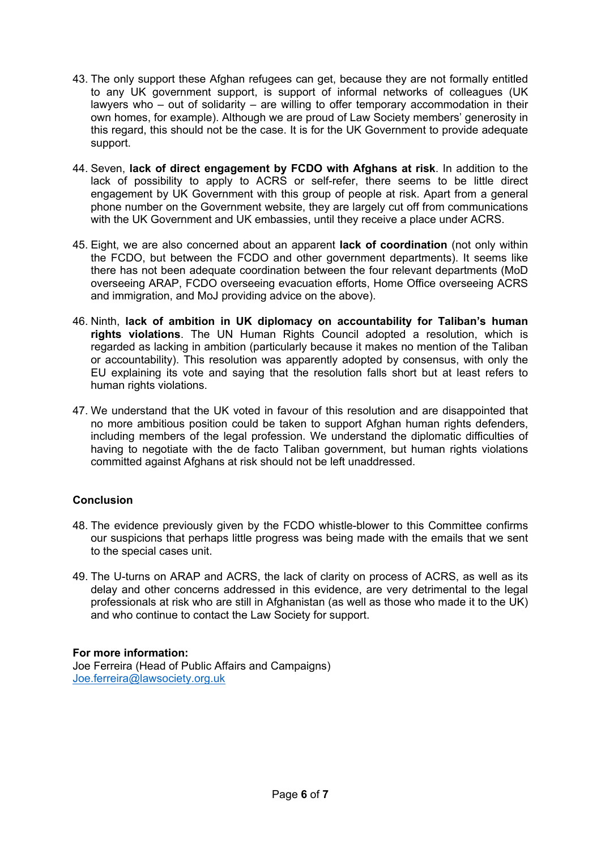- 43. The only support these Afghan refugees can get, because they are not formally entitled to any UK government support, is support of informal networks of colleagues (UK lawyers who – out of solidarity – are willing to offer temporary accommodation in their own homes, for example). Although we are proud of Law Society members' generosity in this regard, this should not be the case. It is for the UK Government to provide adequate support.
- 44. Seven, **lack of direct engagement by FCDO with Afghans at risk**. In addition to the lack of possibility to apply to ACRS or self-refer, there seems to be little direct engagement by UK Government with this group of people at risk. Apart from a general phone number on the Government website, they are largely cut off from communications with the UK Government and UK embassies, until they receive a place under ACRS.
- 45. Eight, we are also concerned about an apparent **lack of coordination** (not only within the FCDO, but between the FCDO and other government departments). It seems like there has not been adequate coordination between the four relevant departments (MoD overseeing ARAP, FCDO overseeing evacuation efforts, Home Office overseeing ACRS and immigration, and MoJ providing advice on the above).
- 46. Ninth, **lack of ambition in UK diplomacy on accountability for Taliban's human rights violations**. The UN Human Rights Council adopted a resolution, which is regarded as lacking in ambition (particularly because it makes no mention of the Taliban or accountability). This resolution was apparently adopted by consensus, with only the EU explaining its vote and saying that the resolution falls short but at least refers to human rights violations.
- 47. We understand that the UK voted in favour of this resolution and are disappointed that no more ambitious position could be taken to support Afghan human rights defenders, including members of the legal profession. We understand the diplomatic difficulties of having to negotiate with the de facto Taliban government, but human rights violations committed against Afghans at risk should not be left unaddressed.

# **Conclusion**

- 48. The evidence previously given by the FCDO whistle-blower to this Committee confirms our suspicions that perhaps little progress was being made with the emails that we sent to the special cases unit.
- 49. The U-turns on ARAP and ACRS, the lack of clarity on process of ACRS, as well as its delay and other concerns addressed in this evidence, are very detrimental to the legal professionals at risk who are still in Afghanistan (as well as those who made it to the UK) and who continue to contact the Law Society for support.

#### **For more information:**

Joe Ferreira (Head of Public Affairs and Campaigns) [Joe.ferreira@lawsociety.org.uk](mailto:Joe.ferreira@lawsociety.org.uk)